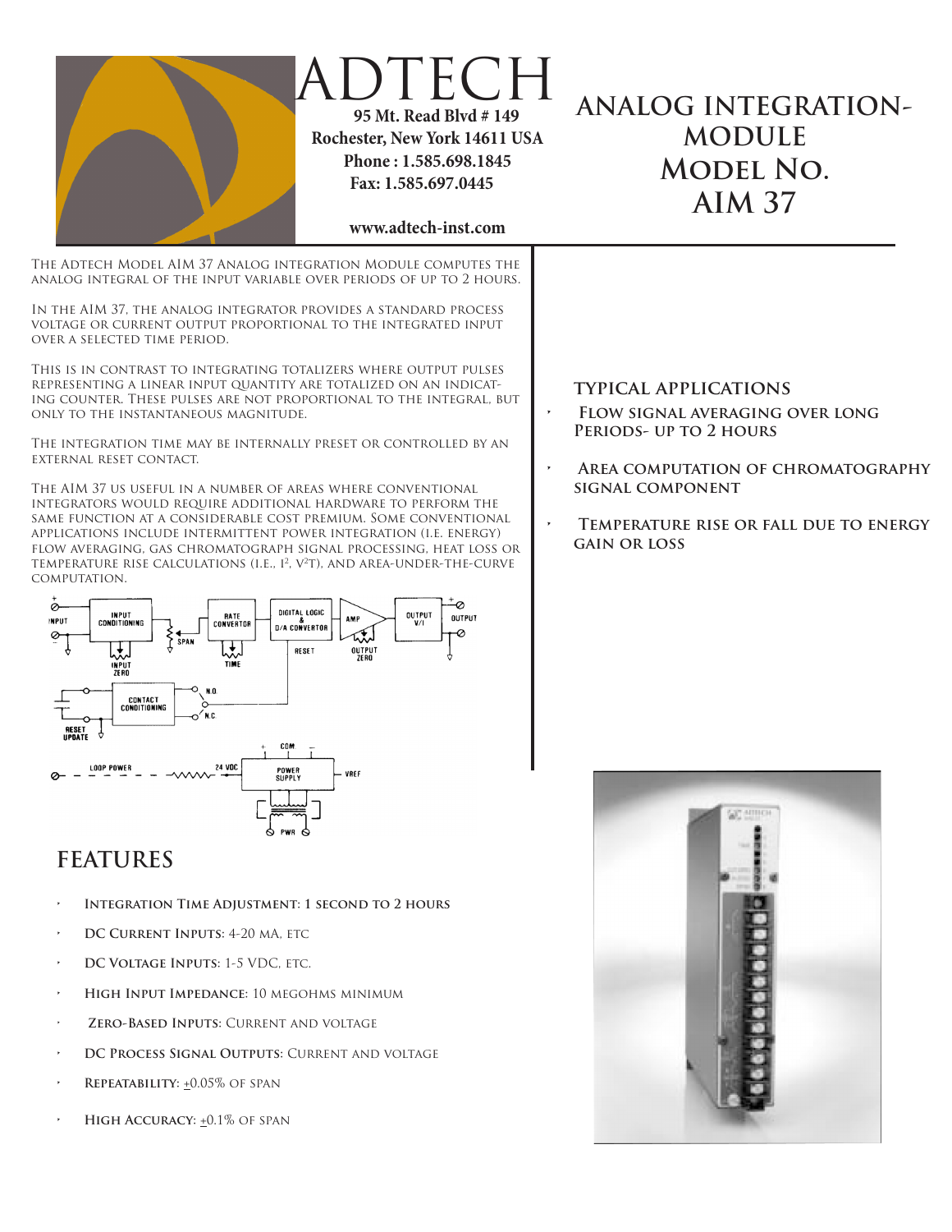

## **FEATURES**

- **INTEGRATION TIME ADJUSTMENT: 1 SECOND TO 2 HOURS**
- **DC CURRENT INPUTS: 4-20 MA, ETC.**
- **DC VOLTAGE INPUTS: 1-5 VDC, ETC.**
- **• High Input Impedance:** 10 megohms minimum
- **ZERO-BASED INPUTS: CURRENT AND VOLTAGE**
- **DC PROCESS SIGNAL OUTPUTS: CURRENT AND VOLTAGE**
- **REPEATABILITY: +0.05% OF SPAN**
- **HIGH ACCURACY:**  $\pm 0.1\%$  **OF SPAN**